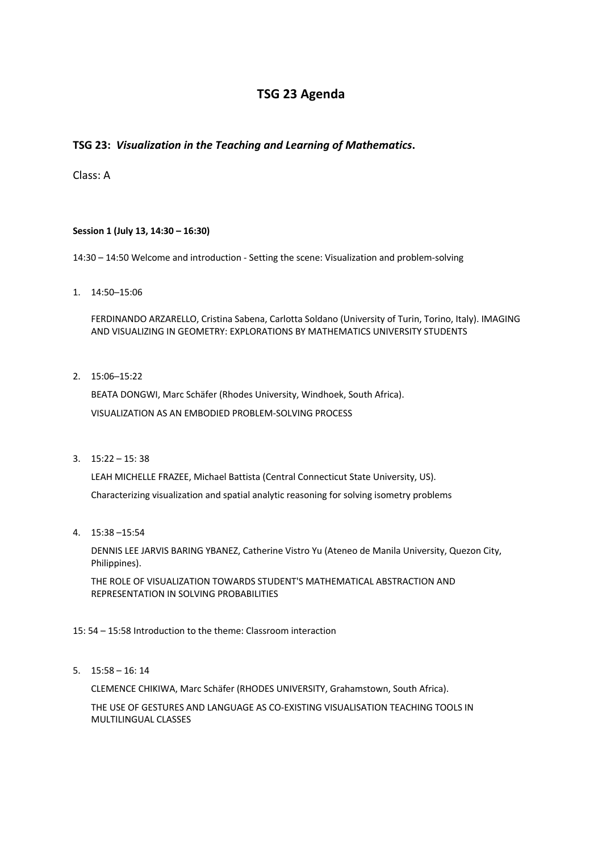# **TSG 23 Agenda**

## **TSG 23:** *Visualization in the Teaching and Learning of Mathematics***.**

Class: A

## **Session 1 (July 13, 14:30 – 16:30)**

14:30 – 14:50 Welcome and introduction - Setting the scene: Visualization and problem-solving

1. 14:50─15:06

FERDINANDO ARZARELLO, Cristina Sabena, Carlotta Soldano (University of Turin, Torino, Italy). IMAGING AND VISUALIZING IN GEOMETRY: EXPLORATIONS BY MATHEMATICS UNIVERSITY STUDENTS

2. 15:06─15:22

BEATA DONGWI, Marc Schäfer (Rhodes University, Windhoek, South Africa). VISUALIZATION AS AN EMBODIED PROBLEM-SOLVING PROCESS

3.  $15:22 - 15:38$ 

LEAH MICHELLE FRAZEE, Michael Battista (Central Connecticut State University, US). Characterizing visualization and spatial analytic reasoning for solving isometry problems

4. 15:38 –15:54

DENNIS LEE JARVIS BARING YBANEZ, Catherine Vistro Yu (Ateneo de Manila University, Quezon City, Philippines).

THE ROLE OF VISUALIZATION TOWARDS STUDENT'S MATHEMATICAL ABSTRACTION AND REPRESENTATION IN SOLVING PROBABILITIES

## 15: 54 – 15:58 Introduction to the theme: Classroom interaction

5. 15:58 – 16: 14

CLEMENCE CHIKIWA, Marc Schäfer (RHODES UNIVERSITY, Grahamstown, South Africa).

THE USE OF GESTURES AND LANGUAGE AS CO-EXISTING VISUALISATION TEACHING TOOLS IN MULTILINGUAL CLASSES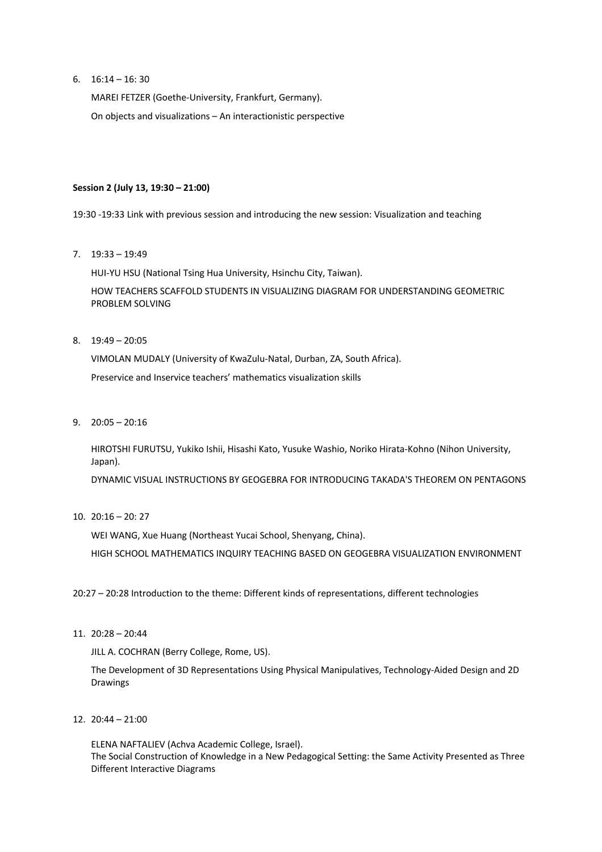6.  $16:14 - 16:30$ 

MAREI FETZER (Goethe-University, Frankfurt, Germany). On objects and visualizations – An interactionistic perspective

## **Session 2 (July 13, 19:30 – 21:00)**

19:30 -19:33 Link with previous session and introducing the new session: Visualization and teaching

7. 19:33 – 19:49

HUI-YU HSU (National Tsing Hua University, Hsinchu City, Taiwan). HOW TEACHERS SCAFFOLD STUDENTS IN VISUALIZING DIAGRAM FOR UNDERSTANDING GEOMETRIC PROBLEM SOLVING

 $8. 19:49 - 20:05$ 

VIMOLAN MUDALY (University of KwaZulu-Natal, Durban, ZA, South Africa). Preservice and Inservice teachers' mathematics visualization skills

9. 20:05 – 20:16

HIROTSHI FURUTSU, Yukiko Ishii, Hisashi Kato, Yusuke Washio, Noriko Hirata-Kohno (Nihon University, Japan).

DYNAMIC VISUAL INSTRUCTIONS BY GEOGEBRA FOR INTRODUCING TAKADA'S THEOREM ON PENTAGONS

10. 20:16 – 20: 27

WEI WANG, Xue Huang (Northeast Yucai School, Shenyang, China).

HIGH SCHOOL MATHEMATICS INQUIRY TEACHING BASED ON GEOGEBRA VISUALIZATION ENVIRONMENT

20:27 – 20:28 Introduction to the theme: Different kinds of representations, different technologies

11. 20:28 – 20:44

JILL A. COCHRAN (Berry College, Rome, US).

The Development of 3D Representations Using Physical Manipulatives, Technology-Aided Design and 2D Drawings

12. 20:44 – 21:00

ELENA NAFTALIEV (Achva Academic College, Israel). The Social Construction of Knowledge in a New Pedagogical Setting: the Same Activity Presented as Three Different Interactive Diagrams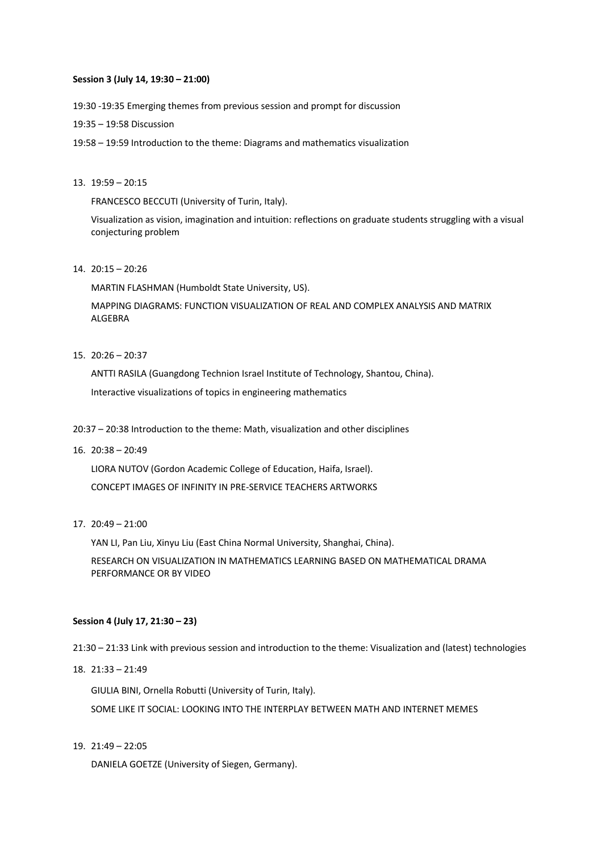#### **Session 3 (July 14, 19:30 – 21:00)**

19:30 -19:35 Emerging themes from previous session and prompt for discussion

- 19:35 19:58 Discussion
- 19:58 19:59 Introduction to the theme: Diagrams and mathematics visualization

### 13. 19:59 – 20:15

FRANCESCO BECCUTI (University of Turin, Italy).

Visualization as vision, imagination and intuition: reflections on graduate students struggling with a visual conjecturing problem

14. 20:15 – 20:26

MARTIN FLASHMAN (Humboldt State University, US).

MAPPING DIAGRAMS: FUNCTION VISUALIZATION OF REAL AND COMPLEX ANALYSIS AND MATRIX ALGEBRA

15. 20:26 – 20:37

ANTTI RASILA (Guangdong Technion Israel Institute of Technology, Shantou, China). Interactive visualizations of topics in engineering mathematics

- 20:37 20:38 Introduction to the theme: Math, visualization and other disciplines
- 16. 20:38 20:49

LIORA NUTOV (Gordon Academic College of Education, Haifa, Israel). CONCEPT IMAGES OF INFINITY IN PRE-SERVICE TEACHERS ARTWORKS

17. 20:49 – 21:00

YAN LI, Pan Liu, Xinyu Liu (East China Normal University, Shanghai, China).

RESEARCH ON VISUALIZATION IN MATHEMATICS LEARNING BASED ON MATHEMATICAL DRAMA PERFORMANCE OR BY VIDEO

### **Session 4 (July 17, 21:30 – 23)**

21:30 – 21:33 Link with previous session and introduction to the theme: Visualization and (latest) technologies

18. 21:33 – 21:49

GIULIA BINI, Ornella Robutti (University of Turin, Italy). SOME LIKE IT SOCIAL: LOOKING INTO THE INTERPLAY BETWEEN MATH AND INTERNET MEMES

19. 21:49 – 22:05

DANIELA GOETZE (University of Siegen, Germany).